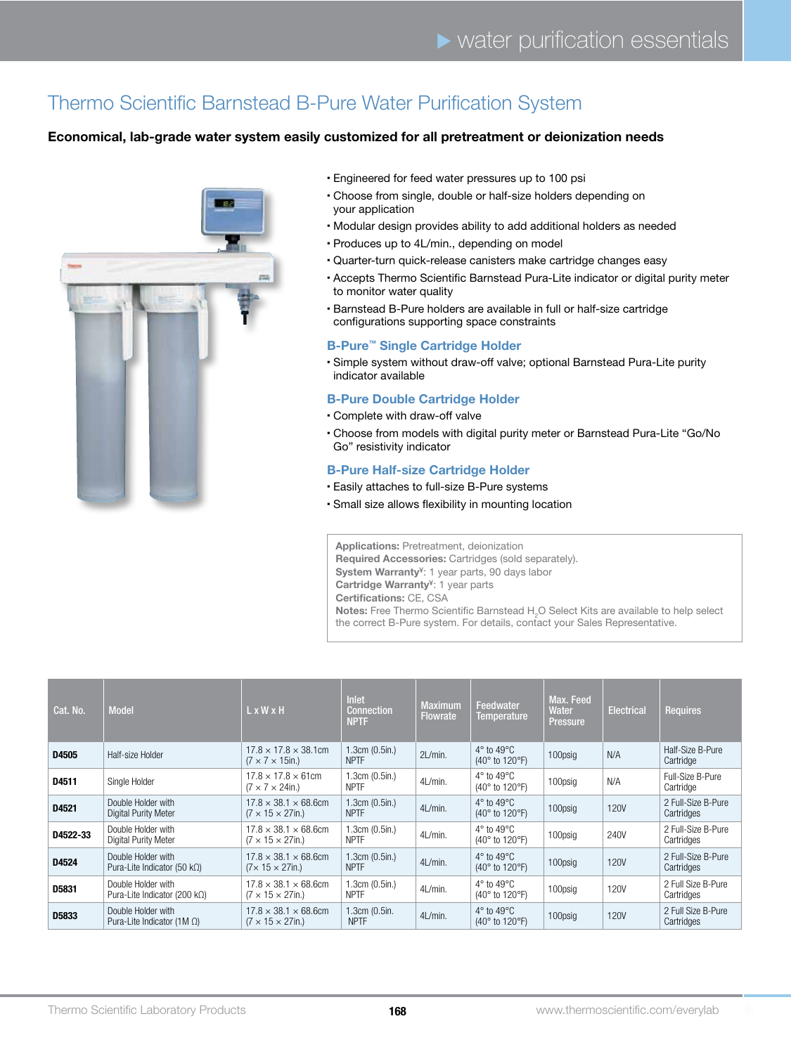# Thermo Scientific Barnstead B-Pure Water Purification System

### Economical, lab-grade water system easily customized for all pretreatment or deionization needs



- � Engineered for feed water pressures up to 100 psi
- � Choose from single, double or half-size holders depending on your application
- � Modular design provides ability to add additional holders as needed
- � Produces up to 4L/min., depending on model
- � Quarter-turn quick-release canisters make cartridge changes easy
- � Accepts Thermo Scientific Barnstead Pura-Lite indicator or digital purity meter to monitor water quality
- � Barnstead B-Pure holders are available in full or half-size cartridge configurations supporting space constraints

#### B-Pure™ Single Cartridge Holder

� Simple system without draw-off valve; optional Barnstead Pura-Lite purity indicator available

#### B-Pure Double Cartridge Holder

- � Complete with draw-off valve
- � Choose from models with digital purity meter or Barnstead Pura-Lite "Go/No Go" resistivity indicator

#### B-Pure Half-size Cartridge Holder

- � Easily attaches to full-size B-Pure systems
- � Small size allows flexibility in mounting location

Applications: Pretreatment, deionization

Required Accessories: Cartridges (sold separately).

System Warranty<sup>¥</sup>: 1 year parts, 90 days labor

Cartridge Warranty<sup>¥</sup>: 1 year parts

Certifications: CE, CSA

**Notes:** Free Thermo Scientific Barnstead H<sub>2</sub>O Select Kits are available to help select the correct B-Pure system. For details, contact your Sales Representative.

| Cat. No. | <b>Model</b>                                                | L x W x H                                                           | Inlet<br><b>Connection</b><br><b>NPTF</b> | <b>Maximum</b><br><b>Flowrate</b> | Feedwater<br>Temperature                                        | Max. Feed<br>Water<br>Pressure | <b>Electrical</b> | <b>Requires</b>                  |
|----------|-------------------------------------------------------------|---------------------------------------------------------------------|-------------------------------------------|-----------------------------------|-----------------------------------------------------------------|--------------------------------|-------------------|----------------------------------|
| D4505    | Half-size Holder                                            | $17.8 \times 17.8 \times 38.1$ cm<br>$(7 \times 7 \times 15)$ in.)  | 1.3cm (0.5in.)<br><b>NPTF</b>             | $2L/min$ .                        | $4^\circ$ to $49^\circ$ C<br>$(40^{\circ}$ to 120 $^{\circ}$ F) | 100psig                        | N/A               | Half-Size B-Pure<br>Cartridge    |
| D4511    | Single Holder                                               | $17.8 \times 17.8 \times 61$ cm<br>$(7 \times 7 \times 24)$ in.)    | 1.3cm (0.5in.)<br><b>NPTF</b>             | 4L/min.                           | $4^\circ$ to $49^\circ$ C<br>$(40^{\circ}$ to 120 $^{\circ}$ F) | 100psig                        | N/A               | Full-Size B-Pure<br>Cartridge    |
| D4521    | Double Holder with<br>Digital Purity Meter                  | $17.8 \times 38.1 \times 68.6$ cm<br>$(7 \times 15 \times 27)$ in.) | 1.3cm (0.5in.)<br><b>NPTF</b>             | 4L/min.                           | $4^\circ$ to $49^\circ C$<br>$(40^{\circ}$ to 120 $^{\circ}$ F) | 100psig                        | <b>120V</b>       | 2 Full-Size B-Pure<br>Cartridges |
| D4522-33 | Double Holder with<br>Digital Purity Meter                  | $17.8 \times 38.1 \times 68.6$ cm<br>$(7 \times 15 \times 27)$ in.) | 1.3cm (0.5in.)<br><b>NPTF</b>             | 4L/min.                           | $4^\circ$ to $49^\circ$ C<br>$(40^{\circ}$ to 120 $^{\circ}$ F) | 100psig                        | 240V              | 2 Full-Size B-Pure<br>Cartridges |
| D4524    | Double Holder with<br>Pura-Lite Indicator (50 k $\Omega$ )  | $17.8 \times 38.1 \times 68.6$ cm<br>$(7\times 15 \times 27)$ in.)  | 1.3cm (0.5in.)<br><b>NPTF</b>             | 4L/min.                           | $4^\circ$ to $49^\circ$ C<br>$(40^\circ$ to 120 $^\circ$ F)     | 100psig                        | <b>120V</b>       | 2 Full-Size B-Pure<br>Cartridges |
| D5831    | Double Holder with<br>Pura-Lite Indicator (200 k $\Omega$ ) | $17.8 \times 38.1 \times 68.6$ cm<br>$(7 \times 15 \times 27)$ in.) | 1.3cm (0.5in.)<br><b>NPTF</b>             | 4L/min.                           | $4^\circ$ to $49^\circ$ C<br>$(40^{\circ}$ to 120 $^{\circ}$ F) | 100psig                        | <b>120V</b>       | 2 Full Size B-Pure<br>Cartridges |
| D5833    | Double Holder with<br>Pura-Lite Indicator $(1M \Omega)$     | $17.8 \times 38.1 \times 68.6$ cm<br>$(7 \times 15 \times 27)$ in.) | 1.3cm(0.5in.<br><b>NPTF</b>               | 4L/min.                           | $4^\circ$ to $49^\circ C$<br>(40° to 120°F)                     | 100psig                        | <b>120V</b>       | 2 Full Size B-Pure<br>Cartridges |